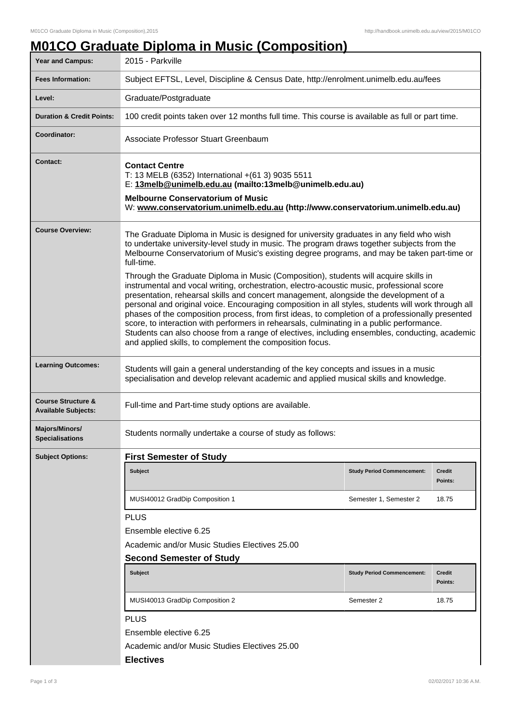## **M01CO Graduate Diploma in Music (Composition)**

| Year and Campus:                                            | 2015 - Parkville                                                                                                                                                                                                                                                                                                                                                                                                                                                                                                                                                                                                                                                                                                                                                                                                                                                                                                                                                                                                                                      |                                   |                          |  |
|-------------------------------------------------------------|-------------------------------------------------------------------------------------------------------------------------------------------------------------------------------------------------------------------------------------------------------------------------------------------------------------------------------------------------------------------------------------------------------------------------------------------------------------------------------------------------------------------------------------------------------------------------------------------------------------------------------------------------------------------------------------------------------------------------------------------------------------------------------------------------------------------------------------------------------------------------------------------------------------------------------------------------------------------------------------------------------------------------------------------------------|-----------------------------------|--------------------------|--|
| <b>Fees Information:</b>                                    | Subject EFTSL, Level, Discipline & Census Date, http://enrolment.unimelb.edu.au/fees                                                                                                                                                                                                                                                                                                                                                                                                                                                                                                                                                                                                                                                                                                                                                                                                                                                                                                                                                                  |                                   |                          |  |
| Level:                                                      | Graduate/Postgraduate                                                                                                                                                                                                                                                                                                                                                                                                                                                                                                                                                                                                                                                                                                                                                                                                                                                                                                                                                                                                                                 |                                   |                          |  |
| <b>Duration &amp; Credit Points:</b>                        | 100 credit points taken over 12 months full time. This course is available as full or part time.                                                                                                                                                                                                                                                                                                                                                                                                                                                                                                                                                                                                                                                                                                                                                                                                                                                                                                                                                      |                                   |                          |  |
| Coordinator:                                                | Associate Professor Stuart Greenbaum                                                                                                                                                                                                                                                                                                                                                                                                                                                                                                                                                                                                                                                                                                                                                                                                                                                                                                                                                                                                                  |                                   |                          |  |
| <b>Contact:</b>                                             | <b>Contact Centre</b><br>T: 13 MELB (6352) International +(61 3) 9035 5511<br>E: 13melb@unimelb.edu.au (mailto:13melb@unimelb.edu.au)<br><b>Melbourne Conservatorium of Music</b><br>W: www.conservatorium.unimelb.edu.au (http://www.conservatorium.unimelb.edu.au)                                                                                                                                                                                                                                                                                                                                                                                                                                                                                                                                                                                                                                                                                                                                                                                  |                                   |                          |  |
| <b>Course Overview:</b>                                     | The Graduate Diploma in Music is designed for university graduates in any field who wish<br>to undertake university-level study in music. The program draws together subjects from the<br>Melbourne Conservatorium of Music's existing degree programs, and may be taken part-time or<br>full-time.<br>Through the Graduate Diploma in Music (Composition), students will acquire skills in<br>instrumental and vocal writing, orchestration, electro-acoustic music, professional score<br>presentation, rehearsal skills and concert management, alongside the development of a<br>personal and original voice. Encouraging composition in all styles, students will work through all<br>phases of the composition process, from first ideas, to completion of a professionally presented<br>score, to interaction with performers in rehearsals, culminating in a public performance.<br>Students can also choose from a range of electives, including ensembles, conducting, academic<br>and applied skills, to complement the composition focus. |                                   |                          |  |
| <b>Learning Outcomes:</b>                                   | Students will gain a general understanding of the key concepts and issues in a music<br>specialisation and develop relevant academic and applied musical skills and knowledge.                                                                                                                                                                                                                                                                                                                                                                                                                                                                                                                                                                                                                                                                                                                                                                                                                                                                        |                                   |                          |  |
| <b>Course Structure &amp;</b><br><b>Available Subjects:</b> | Full-time and Part-time study options are available.                                                                                                                                                                                                                                                                                                                                                                                                                                                                                                                                                                                                                                                                                                                                                                                                                                                                                                                                                                                                  |                                   |                          |  |
| Majors/Minors/<br><b>Specialisations</b>                    | Students normally undertake a course of study as follows:                                                                                                                                                                                                                                                                                                                                                                                                                                                                                                                                                                                                                                                                                                                                                                                                                                                                                                                                                                                             |                                   |                          |  |
| <b>Subject Options:</b>                                     | <b>First Semester of Study</b>                                                                                                                                                                                                                                                                                                                                                                                                                                                                                                                                                                                                                                                                                                                                                                                                                                                                                                                                                                                                                        |                                   |                          |  |
|                                                             | <b>Subject</b>                                                                                                                                                                                                                                                                                                                                                                                                                                                                                                                                                                                                                                                                                                                                                                                                                                                                                                                                                                                                                                        | <b>Study Period Commencement:</b> | <b>Credit</b><br>Points: |  |
|                                                             | MUSI40012 GradDip Composition 1                                                                                                                                                                                                                                                                                                                                                                                                                                                                                                                                                                                                                                                                                                                                                                                                                                                                                                                                                                                                                       | Semester 1, Semester 2            | 18.75                    |  |
|                                                             | <b>PLUS</b>                                                                                                                                                                                                                                                                                                                                                                                                                                                                                                                                                                                                                                                                                                                                                                                                                                                                                                                                                                                                                                           |                                   |                          |  |
|                                                             | Ensemble elective 6.25                                                                                                                                                                                                                                                                                                                                                                                                                                                                                                                                                                                                                                                                                                                                                                                                                                                                                                                                                                                                                                |                                   |                          |  |
|                                                             | Academic and/or Music Studies Electives 25.00                                                                                                                                                                                                                                                                                                                                                                                                                                                                                                                                                                                                                                                                                                                                                                                                                                                                                                                                                                                                         |                                   |                          |  |
|                                                             | <b>Second Semester of Study</b>                                                                                                                                                                                                                                                                                                                                                                                                                                                                                                                                                                                                                                                                                                                                                                                                                                                                                                                                                                                                                       |                                   |                          |  |
|                                                             | <b>Subject</b>                                                                                                                                                                                                                                                                                                                                                                                                                                                                                                                                                                                                                                                                                                                                                                                                                                                                                                                                                                                                                                        | <b>Study Period Commencement:</b> | <b>Credit</b><br>Points: |  |
|                                                             | MUSI40013 GradDip Composition 2                                                                                                                                                                                                                                                                                                                                                                                                                                                                                                                                                                                                                                                                                                                                                                                                                                                                                                                                                                                                                       | Semester 2                        | 18.75                    |  |
|                                                             | <b>PLUS</b><br>Ensemble elective 6.25<br>Academic and/or Music Studies Electives 25.00<br><b>Electives</b>                                                                                                                                                                                                                                                                                                                                                                                                                                                                                                                                                                                                                                                                                                                                                                                                                                                                                                                                            |                                   |                          |  |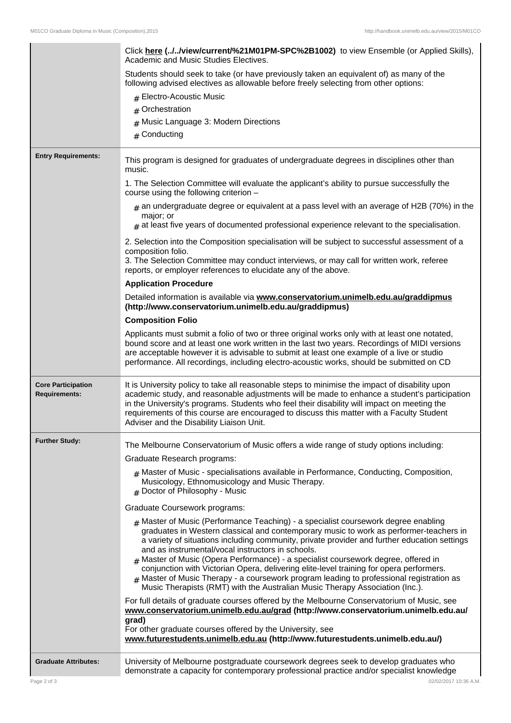|                                                   | Click here (//view/current/%21M01PM-SPC%2B1002) to view Ensemble (or Applied Skills),<br>Academic and Music Studies Electives.<br>Students should seek to take (or have previously taken an equivalent of) as many of the<br>following advised electives as allowable before freely selecting from other options:<br># Electro-Acoustic Music<br>Orchestration<br>#<br># Music Language 3: Modern Directions<br># Conducting                                                                                                                                                                                                                                                                         |
|---------------------------------------------------|------------------------------------------------------------------------------------------------------------------------------------------------------------------------------------------------------------------------------------------------------------------------------------------------------------------------------------------------------------------------------------------------------------------------------------------------------------------------------------------------------------------------------------------------------------------------------------------------------------------------------------------------------------------------------------------------------|
| <b>Entry Requirements:</b>                        | This program is designed for graduates of undergraduate degrees in disciplines other than<br>music.<br>1. The Selection Committee will evaluate the applicant's ability to pursue successfully the<br>course using the following criterion -                                                                                                                                                                                                                                                                                                                                                                                                                                                         |
|                                                   | $_{\text{\#}}$ an undergraduate degree or equivalent at a pass level with an average of H2B (70%) in the<br>major; or<br>$*$ at least five years of documented professional experience relevant to the specialisation.                                                                                                                                                                                                                                                                                                                                                                                                                                                                               |
|                                                   | 2. Selection into the Composition specialisation will be subject to successful assessment of a<br>composition folio.<br>3. The Selection Committee may conduct interviews, or may call for written work, referee<br>reports, or employer references to elucidate any of the above.                                                                                                                                                                                                                                                                                                                                                                                                                   |
|                                                   | <b>Application Procedure</b>                                                                                                                                                                                                                                                                                                                                                                                                                                                                                                                                                                                                                                                                         |
|                                                   | Detailed information is available via www.conservatorium.unimelb.edu.au/graddipmus<br>(http://www.conservatorium.unimelb.edu.au/graddipmus)                                                                                                                                                                                                                                                                                                                                                                                                                                                                                                                                                          |
|                                                   | <b>Composition Folio</b>                                                                                                                                                                                                                                                                                                                                                                                                                                                                                                                                                                                                                                                                             |
|                                                   | Applicants must submit a folio of two or three original works only with at least one notated,<br>bound score and at least one work written in the last two years. Recordings of MIDI versions<br>are acceptable however it is advisable to submit at least one example of a live or studio<br>performance. All recordings, including electro-acoustic works, should be submitted on CD                                                                                                                                                                                                                                                                                                               |
| <b>Core Participation</b><br><b>Requirements:</b> | It is University policy to take all reasonable steps to minimise the impact of disability upon<br>academic study, and reasonable adjustments will be made to enhance a student's participation<br>in the University's programs. Students who feel their disability will impact on meeting the<br>requirements of this course are encouraged to discuss this matter with a Faculty Student<br>Adviser and the Disability Liaison Unit.                                                                                                                                                                                                                                                                |
| <b>Further Study:</b>                             | The Melbourne Conservatorium of Music offers a wide range of study options including:                                                                                                                                                                                                                                                                                                                                                                                                                                                                                                                                                                                                                |
|                                                   | Graduate Research programs:                                                                                                                                                                                                                                                                                                                                                                                                                                                                                                                                                                                                                                                                          |
|                                                   | $#$ Master of Music - specialisations available in Performance, Conducting, Composition,<br>Musicology, Ethnomusicology and Music Therapy.<br># Doctor of Philosophy - Music                                                                                                                                                                                                                                                                                                                                                                                                                                                                                                                         |
|                                                   | Graduate Coursework programs:                                                                                                                                                                                                                                                                                                                                                                                                                                                                                                                                                                                                                                                                        |
|                                                   | $#$ Master of Music (Performance Teaching) - a specialist coursework degree enabling<br>graduates in Western classical and contemporary music to work as performer-teachers in<br>a variety of situations including community, private provider and further education settings<br>and as instrumental/vocal instructors in schools.<br>$#$ Master of Music (Opera Performance) - a specialist coursework degree, offered in<br>conjunction with Victorian Opera, delivering elite-level training for opera performers.<br>$#$ Master of Music Therapy - a coursework program leading to professional registration as<br>Music Therapists (RMT) with the Australian Music Therapy Association (Inc.). |
|                                                   | For full details of graduate courses offered by the Melbourne Conservatorium of Music, see<br>www.conservatorium.unimelb.edu.au/grad (http://www.conservatorium.unimelb.edu.au/<br>grad)<br>For other graduate courses offered by the University, see                                                                                                                                                                                                                                                                                                                                                                                                                                                |
|                                                   | www.futurestudents.unimelb.edu.au (http://www.futurestudents.unimelb.edu.au/)                                                                                                                                                                                                                                                                                                                                                                                                                                                                                                                                                                                                                        |
| <b>Graduate Attributes:</b>                       | University of Melbourne postgraduate coursework degrees seek to develop graduates who<br>demonstrate a capacity for contemporary professional practice and/or specialist knowledge                                                                                                                                                                                                                                                                                                                                                                                                                                                                                                                   |